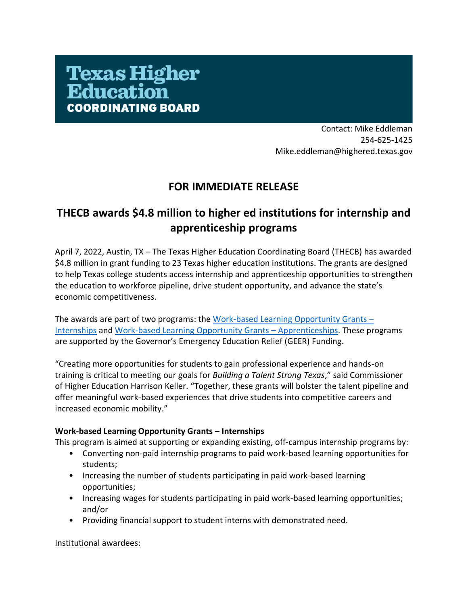# **Texas Higher<br>Education** COORDINATING BOARD

Contact: Mike Eddleman 254-625-1425 Mike.eddleman@highered.texas.gov

### **FOR IMMEDIATE RELEASE**

## **THECB awards \$4.8 million to higher ed institutions for internship and apprenticeship programs**

April 7, 2022, Austin, TX – The Texas Higher Education Coordinating Board (THECB) has awarded \$4.8 million in grant funding to 23 Texas higher education institutions. The grants are designed to help Texas college students access internship and apprenticeship opportunities to strengthen the education to workforce pipeline, drive student opportunity, and advance the state's economic competitiveness.

The awards are part of two programs: the [Work-based Learning Opportunity Grants](https://www.highered.texas.gov/institutional-resources-programs/institutional-grant-opportunities/work-based-learning-opportunity-grants/) – [Internships](https://www.highered.texas.gov/institutional-resources-programs/institutional-grant-opportunities/work-based-learning-opportunity-grants/) and [Work-based Learning Opportunity Grants](https://www.highered.texas.gov/institutional-resources-programs/institutional-grant-opportunities/work-based-learning-opportunity-grants/) – Apprenticeships. These programs are supported by the Governor's Emergency Education Relief (GEER) Funding.

"Creating more opportunities for students to gain professional experience and hands-on training is critical to meeting our goals for *Building a Talent Strong Texas*," said Commissioner of Higher Education Harrison Keller. "Together, these grants will bolster the talent pipeline and offer meaningful work-based experiences that drive students into competitive careers and increased economic mobility."

#### **Work-based Learning Opportunity Grants – Internships**

This program is aimed at supporting or expanding existing, off-campus internship programs by:

- Converting non-paid internship programs to paid work-based learning opportunities for students;
- Increasing the number of students participating in paid work-based learning opportunities;
- Increasing wages for students participating in paid work-based learning opportunities; and/or
- Providing financial support to student interns with demonstrated need.

#### Institutional awardees: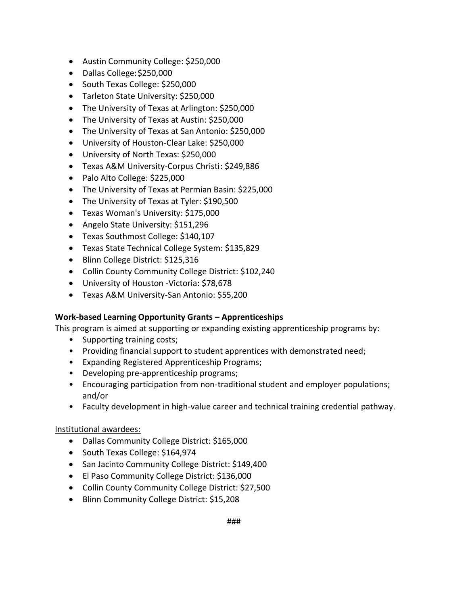- Austin Community College: \$250,000
- Dallas College:\$250,000
- South Texas College: \$250,000
- Tarleton State University: \$250,000
- The University of Texas at Arlington: \$250,000
- The University of Texas at Austin: \$250,000
- The University of Texas at San Antonio: \$250,000
- University of Houston-Clear Lake: \$250,000
- University of North Texas: \$250,000
- Texas A&M University-Corpus Christi: \$249,886
- Palo Alto College: \$225,000
- The University of Texas at Permian Basin: \$225,000
- The University of Texas at Tyler: \$190,500
- Texas Woman's University: \$175,000
- Angelo State University: \$151,296
- Texas Southmost College: \$140,107
- Texas State Technical College System: \$135,829
- Blinn College District: \$125,316
- Collin County Community College District: \$102,240
- University of Houston -Victoria: \$78,678
- Texas A&M University-San Antonio: \$55,200

#### **Work-based Learning Opportunity Grants – Apprenticeships**

This program is aimed at supporting or expanding existing apprenticeship programs by:

- Supporting training costs;
- Providing financial support to student apprentices with demonstrated need;
- Expanding Registered Apprenticeship Programs;
- Developing pre-apprenticeship programs;
- Encouraging participation from non-traditional student and employer populations; and/or
- Faculty development in high-value career and technical training credential pathway.

#### Institutional awardees:

- Dallas Community College District: \$165,000
- South Texas College: \$164,974
- San Jacinto Community College District: \$149,400
- El Paso Community College District: \$136,000
- Collin County Community College District: \$27,500
- Blinn Community College District: \$15,208